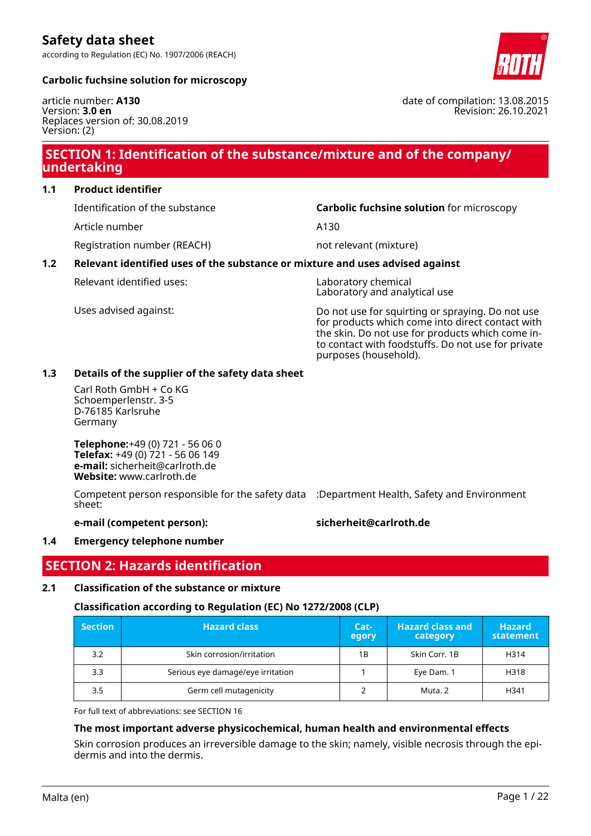according to Regulation (EC) No. 1907/2006 (REACH)

### **Carbolic fuchsine solution for microscopy**

article number: **A130** Version: **3.0 en** Replaces version of: 30.08.2019 Version: (2)

### **SECTION 1: Identification of the substance/mixture and of the company/ undertaking**

**1.1 Product identifier**

Article number A130

Registration number (REACH) not relevant (mixture)

Identification of the substance **Carbolic fuchsine solution** for microscopy

### **1.2 Relevant identified uses of the substance or mixture and uses advised against**

Relevant identified uses: Laboratory chemical

Laboratory and analytical use

Uses advised against: Do not use for squirting or spraying. Do not use for products which come into direct contact with the skin. Do not use for products which come into contact with foodstuffs. Do not use for private purposes (household).

### **1.3 Details of the supplier of the safety data sheet**

Carl Roth GmbH + Co KG Schoemperlenstr. 3-5 D-76185 Karlsruhe Germany

**Telephone:**+49 (0) 721 - 56 06 0 **Telefax:** +49 (0) 721 - 56 06 149 **e-mail:** sicherheit@carlroth.de **Website:** www.carlroth.de

Competent person responsible for the safety data :Department Health, Safety and Environment sheet:

**e-mail (competent person): sicherheit@carlroth.de**

### **1.4 Emergency telephone number**

## **SECTION 2: Hazards identification**

### **2.1 Classification of the substance or mixture**

### **Classification according to Regulation (EC) No 1272/2008 (CLP)**

| <b>Section</b> | <b>Hazard class</b>               | Cat-<br>egory | <b>Hazard class and</b><br>category | <b>Hazard</b><br>statement |
|----------------|-----------------------------------|---------------|-------------------------------------|----------------------------|
| 3.2            | Skin corrosion/irritation         | 1B            | Skin Corr. 1B                       | H314                       |
| 3.3            | Serious eye damage/eye irritation |               | Eye Dam. 1                          | H318                       |
| 3.5            | Germ cell mutagenicity            |               | Muta. 2                             | H341                       |

For full text of abbreviations: see SECTION 16

### **The most important adverse physicochemical, human health and environmental effects**

Skin corrosion produces an irreversible damage to the skin; namely, visible necrosis through the epidermis and into the dermis.





date of compilation: 13.08.2015 Revision: 26.10.2021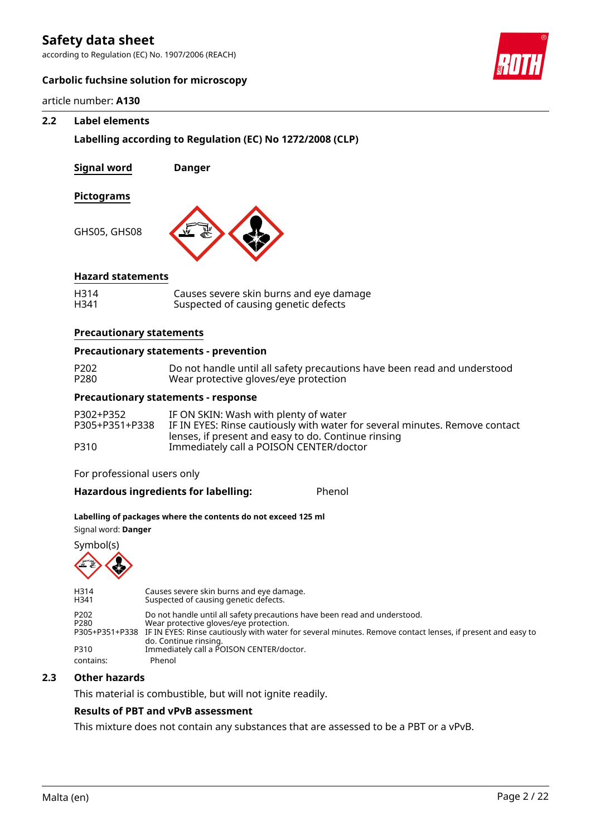according to Regulation (EC) No. 1907/2006 (REACH)



### **Carbolic fuchsine solution for microscopy**

article number: **A130**

### **2.2 Label elements**

**Labelling according to Regulation (EC) No 1272/2008 (CLP)**

**Signal word Danger**

**Pictograms**

GHS05, GHS08



### **Hazard statements**

| H314 | Causes severe skin burns and eye damage |
|------|-----------------------------------------|
| H341 | Suspected of causing genetic defects    |

### **Precautionary statements**

#### **Precautionary statements - prevention**

| P202 | Do not handle until all safety precautions have been read and understood |
|------|--------------------------------------------------------------------------|
| P280 | Wear protective gloves/eye protection                                    |

### **Precautionary statements - response**

| P302+P352      | IF ON SKIN: Wash with plenty of water                                       |
|----------------|-----------------------------------------------------------------------------|
| P305+P351+P338 | IF IN EYES: Rinse cautiously with water for several minutes. Remove contact |
|                | lenses, if present and easy to do. Continue rinsing                         |
| P310           | Immediately call a POISON CENTER/doctor                                     |

For professional users only

#### **Hazardous ingredients for labelling:** Phenol

#### **Labelling of packages where the contents do not exceed 125 ml**

Signal word: **Danger**

Symbol(s)



| H314<br>H341 | Causes severe skin burns and eye damage.<br>Suspected of causing genetic defects.                                                                  |
|--------------|----------------------------------------------------------------------------------------------------------------------------------------------------|
| P202<br>P280 | Do not handle until all safety precautions have been read and understood.<br>Wear protective gloves/eye protection.                                |
|              | P305+P351+P338 IF IN EYES: Rinse cautiously with water for several minutes. Remove contact lenses, if present and easy to<br>do. Continue rinsing. |
| P310         | Immediately call a POISON CENTER/doctor.                                                                                                           |
| contains:    | Phenol                                                                                                                                             |

### **2.3 Other hazards**

This material is combustible, but will not ignite readily.

### **Results of PBT and vPvB assessment**

This mixture does not contain any substances that are assessed to be a PBT or a vPvB.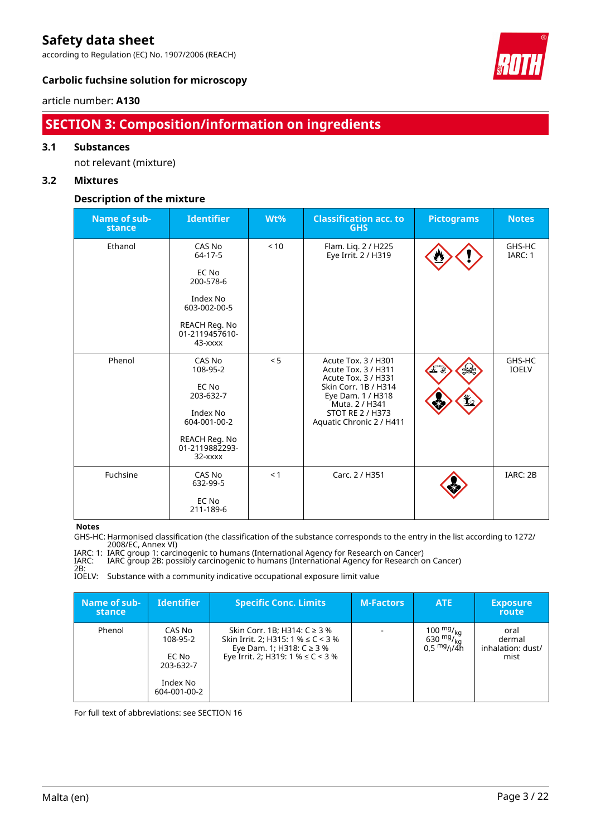according to Regulation (EC) No. 1907/2006 (REACH)



### **Carbolic fuchsine solution for microscopy**

### article number: **A130**

## **SECTION 3: Composition/information on ingredients**

### **3.1 Substances**

not relevant (mixture)

### **3.2 Mixtures**

### **Description of the mixture**

| Name of sub-<br>stance | <b>Identifier</b>                             | Wt%  | <b>Classification acc. to</b><br><b>GHS</b>                       | <b>Pictograms</b> | <b>Notes</b>           |
|------------------------|-----------------------------------------------|------|-------------------------------------------------------------------|-------------------|------------------------|
| Ethanol                | CAS No<br>64-17-5                             | < 10 | Flam. Liq. 2 / H225<br>Eye Irrit. 2 / H319                        |                   | GHS-HC<br>IARC: 1      |
|                        | EC No<br>200-578-6                            |      |                                                                   |                   |                        |
|                        | Index No<br>603-002-00-5                      |      |                                                                   |                   |                        |
|                        | REACH Reg. No<br>01-2119457610-<br>$43  xxxx$ |      |                                                                   |                   |                        |
| Phenol                 | CAS No<br>108-95-2                            | < 5  | Acute Tox. 3 / H301<br>Acute Tox. 3 / H311<br>Acute Tox, 3 / H331 |                   | GHS-HC<br><b>IOELV</b> |
|                        | EC No<br>203-632-7                            |      | Skin Corr. 1B / H314<br>Eye Dam. 1 / H318<br>Muta, 2 / H341       |                   |                        |
|                        | Index No<br>604-001-00-2                      |      | <b>STOT RE 2 / H373</b><br>Aquatic Chronic 2 / H411               |                   |                        |
|                        | REACH Reg. No<br>01-2119882293-<br>32-xxxx    |      |                                                                   |                   |                        |
| Fuchsine               | CAS No<br>632-99-5                            | < 1  | Carc. 2 / H351                                                    |                   | IARC: 2B               |
|                        | EC No<br>211-189-6                            |      |                                                                   |                   |                        |

### **Notes**

GHS-HC: Harmonised classification (the classification of the substance corresponds to the entry in the list according to 1272/ 2008/EC, Annex VI)

IARC: 1: IARC group 1: carcinogenic to humans (International Agency for Research on Cancer)

IARC: 2B: IARC group 2B: possibly carcinogenic to humans (International Agency for Research on Cancer)

IOELV: Substance with a community indicative occupational exposure limit value

| Name of sub-<br>stance | <b>Identifier</b>                                                    | <b>Specific Conc. Limits</b>                                                                                                                       | <b>M-Factors</b> | <b>ATE</b>                                                                                         | <b>Exposure</b><br>route                    |
|------------------------|----------------------------------------------------------------------|----------------------------------------------------------------------------------------------------------------------------------------------------|------------------|----------------------------------------------------------------------------------------------------|---------------------------------------------|
| Phenol                 | CAS No<br>108-95-2<br>EC No<br>203-632-7<br>Index No<br>604-001-00-2 | Skin Corr. 1B; H314: C ≥ 3 %<br>Skin Irrit. 2; H315: 1 % $\leq C$ < 3 %<br>Eye Dam. 1; H318: $C \ge 3$ %<br>Eye Irrit. 2; H319: 1 % $\leq$ C < 3 % |                  | 100 mg/ <sub>kg</sub><br>630 <sup>mg</sup> / <sub>kg</sub><br>0,5 <sup>mg</sup> / <sub>l</sub> /4h | oral<br>dermal<br>inhalation: dust/<br>mist |

For full text of abbreviations: see SECTION 16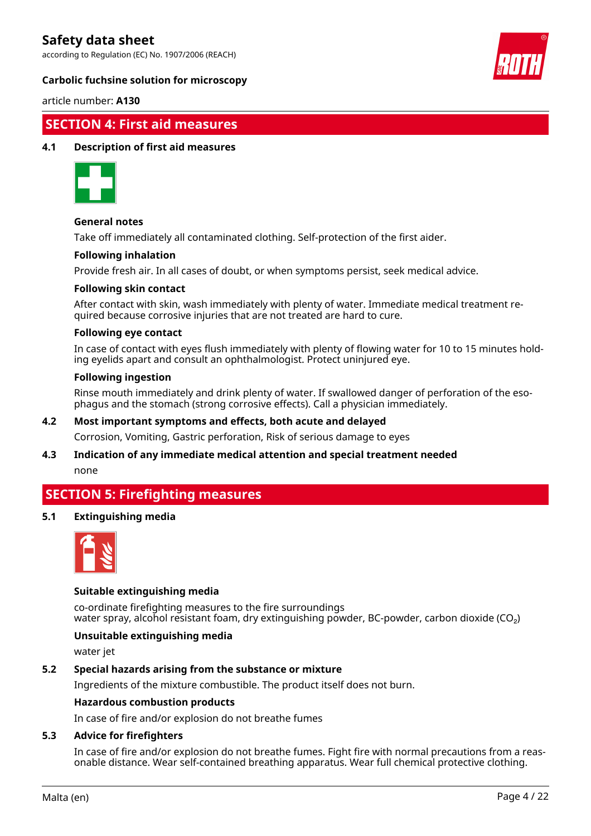according to Regulation (EC) No. 1907/2006 (REACH)



### **Carbolic fuchsine solution for microscopy**

article number: **A130**

### **SECTION 4: First aid measures**

### **4.1 Description of first aid measures**



### **General notes**

Take off immediately all contaminated clothing. Self-protection of the first aider.

### **Following inhalation**

Provide fresh air. In all cases of doubt, or when symptoms persist, seek medical advice.

#### **Following skin contact**

After contact with skin, wash immediately with plenty of water. Immediate medical treatment required because corrosive injuries that are not treated are hard to cure.

#### **Following eye contact**

In case of contact with eyes flush immediately with plenty of flowing water for 10 to 15 minutes holding eyelids apart and consult an ophthalmologist. Protect uninjured eye.

#### **Following ingestion**

Rinse mouth immediately and drink plenty of water. If swallowed danger of perforation of the esophagus and the stomach (strong corrosive effects). Call a physician immediately.

### **4.2 Most important symptoms and effects, both acute and delayed**

Corrosion, Vomiting, Gastric perforation, Risk of serious damage to eyes

### **4.3 Indication of any immediate medical attention and special treatment needed** none

### **SECTION 5: Firefighting measures**

### **5.1 Extinguishing media**



### **Suitable extinguishing media**

co-ordinate firefighting measures to the fire surroundings water spray, alcohol resistant foam, dry extinguishing powder, BC-powder, carbon dioxide (CO₂)

### **Unsuitable extinguishing media**

water jet

### **5.2 Special hazards arising from the substance or mixture**

Ingredients of the mixture combustible. The product itself does not burn.

### **Hazardous combustion products**

In case of fire and/or explosion do not breathe fumes

### **5.3 Advice for firefighters**

In case of fire and/or explosion do not breathe fumes. Fight fire with normal precautions from a reasonable distance. Wear self-contained breathing apparatus. Wear full chemical protective clothing.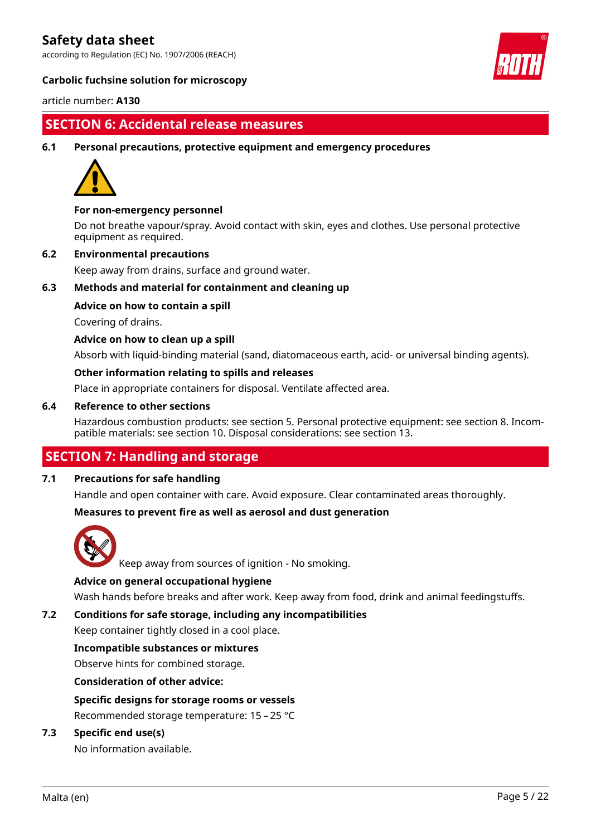according to Regulation (EC) No. 1907/2006 (REACH)



### **Carbolic fuchsine solution for microscopy**

article number: **A130**

### **SECTION 6: Accidental release measures**

### **6.1 Personal precautions, protective equipment and emergency procedures**



### **For non-emergency personnel**

Do not breathe vapour/spray. Avoid contact with skin, eyes and clothes. Use personal protective equipment as required.

### **6.2 Environmental precautions**

Keep away from drains, surface and ground water.

### **6.3 Methods and material for containment and cleaning up**

#### **Advice on how to contain a spill**

Covering of drains.

#### **Advice on how to clean up a spill**

Absorb with liquid-binding material (sand, diatomaceous earth, acid- or universal binding agents).

#### **Other information relating to spills and releases**

Place in appropriate containers for disposal. Ventilate affected area.

#### **6.4 Reference to other sections**

Hazardous combustion products: see section 5. Personal protective equipment: see section 8. Incompatible materials: see section 10. Disposal considerations: see section 13.

### **SECTION 7: Handling and storage**

### **7.1 Precautions for safe handling**

Handle and open container with care. Avoid exposure. Clear contaminated areas thoroughly.

### **Measures to prevent fire as well as aerosol and dust generation**



Keep away from sources of ignition - No smoking.

### **Advice on general occupational hygiene**

Wash hands before breaks and after work. Keep away from food, drink and animal feedingstuffs.

### **7.2 Conditions for safe storage, including any incompatibilities**

Keep container tightly closed in a cool place.

### **Incompatible substances or mixtures**

Observe hints for combined storage.

**Consideration of other advice:**

### **Specific designs for storage rooms or vessels**

Recommended storage temperature: 15 – 25 °C

### **7.3 Specific end use(s)**

No information available.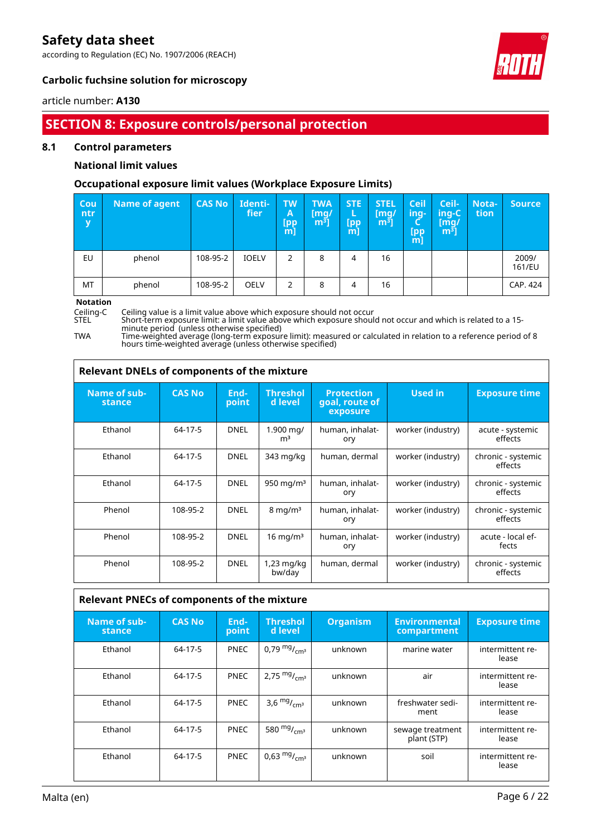according to Regulation (EC) No. 1907/2006 (REACH)



### **Carbolic fuchsine solution for microscopy**

### article number: **A130**

## **SECTION 8: Exposure controls/personal protection**

### **8.1 Control parameters**

### **National limit values**

### **Occupational exposure limit values (Workplace Exposure Limits)**

| Cou<br>ntr<br>y | <b>Name of agent</b> | <b>CAS No</b> | Identi-<br>fier | <b>TW</b><br>A<br>[pp<br>[m] | <b>TWA</b><br>[mq/<br>$m3$ ] | <b>STE</b><br>ь<br>[pp<br>[m] | <b>STEL</b><br>[mq/<br>m <sup>3</sup> | Ceil<br>/inq-<br>[pp<br>mľ | Ceil-<br>ing-C'<br>[mg/<br>$\left[\mathsf{m}^{\bar{\mathsf{3}}}\right]$ | Nota-<br>tion | <b>Source</b>   |
|-----------------|----------------------|---------------|-----------------|------------------------------|------------------------------|-------------------------------|---------------------------------------|----------------------------|-------------------------------------------------------------------------|---------------|-----------------|
| EU              | phenol               | 108-95-2      | <b>IOELV</b>    | 2                            | 8                            | 4                             | 16                                    |                            |                                                                         |               | 2009/<br>161/EU |
| MT              | phenol               | 108-95-2      | <b>OELV</b>     | 2                            | 8                            | 4                             | 16                                    |                            |                                                                         |               | CAP. 424        |

# **Notation**

Ceiling-C Ceiling value is a limit value above which exposure should not occur

STEL Short-term exposure limit: a limit value above which exposure should not occur and which is related to a 15 minute period (unless otherwise specified)

TWA Time-weighted average (long-term exposure limit): measured or calculated in relation to a reference period of 8 hours time-weighted average (unless otherwise specified)

| Relevant DNELs of components of the mixture |               |               |                                |                                                 |                   |                               |  |
|---------------------------------------------|---------------|---------------|--------------------------------|-------------------------------------------------|-------------------|-------------------------------|--|
| Name of sub-<br>stance                      | <b>CAS No</b> | End-<br>point | <b>Threshol</b><br>d level     | <b>Protection</b><br>goal, route of<br>exposure | <b>Used in</b>    | <b>Exposure time</b>          |  |
| Ethanol                                     | 64-17-5       | <b>DNEL</b>   | 1.900 mg/<br>m <sup>3</sup>    | human, inhalat-<br>ory                          | worker (industry) | acute - systemic<br>effects   |  |
| Ethanol                                     | 64-17-5       | <b>DNEL</b>   | 343 mg/kg                      | human, dermal                                   | worker (industry) | chronic - systemic<br>effects |  |
| Ethanol                                     | 64-17-5       | <b>DNEL</b>   | 950 mg/m $3$                   | human, inhalat-<br>ory                          | worker (industry) | chronic - systemic<br>effects |  |
| Phenol                                      | 108-95-2      | <b>DNEL</b>   | $8 \text{ mg/m}^3$             | human, inhalat-<br>ory                          | worker (industry) | chronic - systemic<br>effects |  |
| Phenol                                      | 108-95-2      | <b>DNEL</b>   | $16 \text{ mg/m}^3$            | human, inhalat-<br>ory                          | worker (industry) | acute - local ef-<br>fects    |  |
| Phenol                                      | 108-95-2      | <b>DNEL</b>   | $1,23 \text{ mg/kg}$<br>bw/day | human, dermal                                   | worker (industry) | chronic - systemic<br>effects |  |

### **Relevant PNECs of components of the mixture**

| Name of sub-<br><b>stance</b> | <b>CAS No</b> | End-<br>point | <b>Threshol</b><br>d level | <b>Organism</b> | <b>Environmental</b><br>compartment | <b>Exposure time</b>      |
|-------------------------------|---------------|---------------|----------------------------|-----------------|-------------------------------------|---------------------------|
| Ethanol                       | 64-17-5       | <b>PNEC</b>   | 0,79 $mg/m3$               | unknown         | marine water                        | intermittent re-<br>lease |
| Ethanol                       | 64-17-5       | <b>PNEC</b>   | 2,75 $mg/m3$               | unknown         | air                                 | intermittent re-<br>lease |
| Ethanol                       | 64-17-5       | <b>PNEC</b>   | 3,6 $mg/m3$                | unknown         | freshwater sedi-<br>ment            | intermittent re-<br>lease |
| Ethanol                       | 64-17-5       | <b>PNEC</b>   | 580 $mg/mcm3$              | unknown         | sewage treatment<br>plant (STP)     | intermittent re-<br>lease |
| Ethanol                       | 64-17-5       | <b>PNEC</b>   | $0.63 \frac{mg}{cm^3}$     | unknown         | soil                                | intermittent re-<br>lease |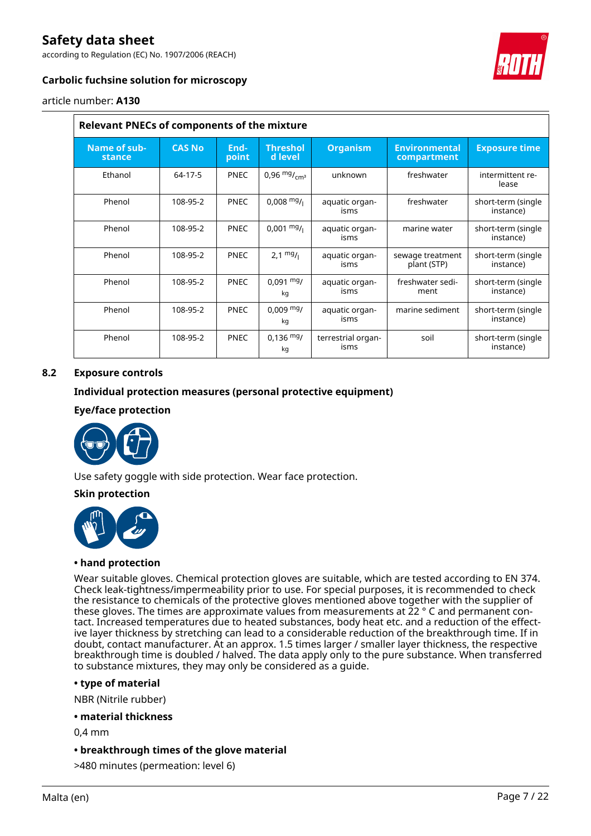according to Regulation (EC) No. 1907/2006 (REACH)



### **Carbolic fuchsine solution for microscopy**

### article number: **A130**

| <b>Relevant PNECs of components of the mixture</b> |               |               |                            |                            |                                     |                                 |  |
|----------------------------------------------------|---------------|---------------|----------------------------|----------------------------|-------------------------------------|---------------------------------|--|
| Name of sub-<br>stance                             | <b>CAS No</b> | End-<br>point | <b>Threshol</b><br>d level | <b>Organism</b>            | <b>Environmental</b><br>compartment | <b>Exposure time</b>            |  |
| Ethanol                                            | 64-17-5       | <b>PNEC</b>   | 0,96 $mg/m2$               | unknown                    | freshwater                          | intermittent re-<br>lease       |  |
| Phenol                                             | 108-95-2      | <b>PNEC</b>   | $0,008$ mg/ <sub>1</sub>   | aquatic organ-<br>isms     | freshwater                          | short-term (single<br>instance) |  |
| Phenol                                             | 108-95-2      | <b>PNEC</b>   | $0,001 \frac{mg}{l}$       | aquatic organ-<br>isms     | marine water                        | short-term (single<br>instance) |  |
| Phenol                                             | 108-95-2      | <b>PNEC</b>   | $2,1 \frac{mg}{l}$         | aquatic organ-<br>isms     | sewage treatment<br>plant (STP)     | short-term (single<br>instance) |  |
| Phenol                                             | 108-95-2      | <b>PNEC</b>   | $0,091 \text{ mg}$<br>kg   | aquatic organ-<br>isms     | freshwater sedi-<br>ment            | short-term (single<br>instance) |  |
| Phenol                                             | 108-95-2      | <b>PNEC</b>   | $0.009$ mg/<br>kq          | aquatic organ-<br>isms     | marine sediment                     | short-term (single<br>instance) |  |
| Phenol                                             | 108-95-2      | <b>PNEC</b>   | $0.136$ mg/<br>kq          | terrestrial organ-<br>isms | soil                                | short-term (single<br>instance) |  |

### **8.2 Exposure controls**

### **Individual protection measures (personal protective equipment)**

### **Eye/face protection**



Use safety goggle with side protection. Wear face protection.

### **Skin protection**



### **• hand protection**

Wear suitable gloves. Chemical protection gloves are suitable, which are tested according to EN 374. Check leak-tightness/impermeability prior to use. For special purposes, it is recommended to check the resistance to chemicals of the protective gloves mentioned above together with the supplier of these gloves. The times are approximate values from measurements at  $\tilde{z}$   $\tilde{z}$   $\tilde{z}$   $\tilde{z}$   $\tilde{z}$  and permanent contact. Increased temperatures due to heated substances, body heat etc. and a reduction of the effective layer thickness by stretching can lead to a considerable reduction of the breakthrough time. If in doubt, contact manufacturer. At an approx. 1.5 times larger / smaller layer thickness, the respective breakthrough time is doubled / halved. The data apply only to the pure substance. When transferred to substance mixtures, they may only be considered as a guide.

### **• type of material**

NBR (Nitrile rubber)

#### **• material thickness**

0,4 mm

**• breakthrough times of the glove material**

>480 minutes (permeation: level 6)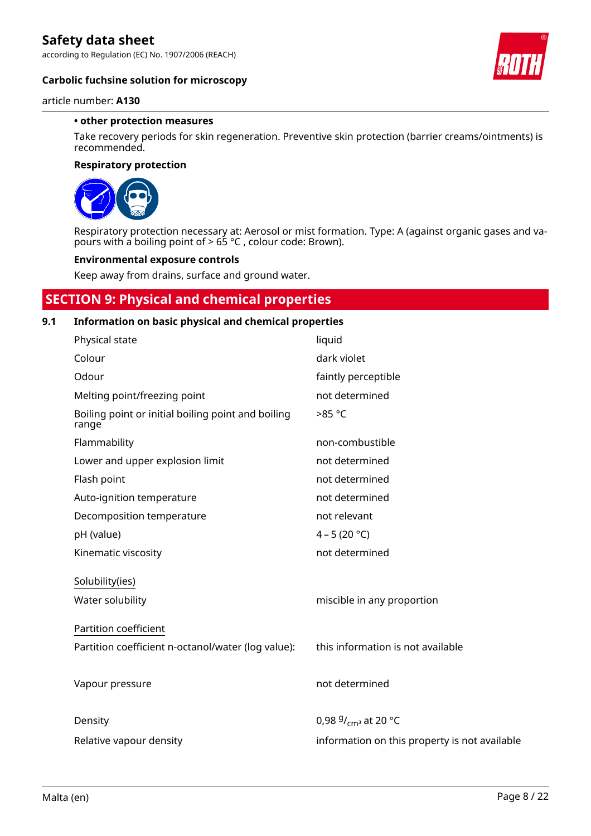according to Regulation (EC) No. 1907/2006 (REACH)

### **Carbolic fuchsine solution for microscopy**



#### article number: **A130**

### **• other protection measures**

Take recovery periods for skin regeneration. Preventive skin protection (barrier creams/ointments) is recommended.

#### **Respiratory protection**



Respiratory protection necessary at: Aerosol or mist formation. Type: A (against organic gases and vapours with a boiling point of > 65 °C , colour code: Brown).

#### **Environmental exposure controls**

Keep away from drains, surface and ground water.

### **SECTION 9: Physical and chemical properties**

### **9.1 Information on basic physical and chemical properties**

| Physical state                                              | liquid                                        |
|-------------------------------------------------------------|-----------------------------------------------|
| Colour                                                      | dark violet                                   |
| Odour                                                       | faintly perceptible                           |
| Melting point/freezing point                                | not determined                                |
| Boiling point or initial boiling point and boiling<br>range | >85 °C                                        |
| Flammability                                                | non-combustible                               |
| Lower and upper explosion limit                             | not determined                                |
| Flash point                                                 | not determined                                |
| Auto-ignition temperature                                   | not determined                                |
| Decomposition temperature                                   | not relevant                                  |
| pH (value)                                                  | 4 – 5 (20 °C)                                 |
| Kinematic viscosity                                         | not determined                                |
| Solubility(ies)                                             |                                               |
| Water solubility                                            | miscible in any proportion                    |
| Partition coefficient                                       |                                               |
| Partition coefficient n-octanol/water (log value):          | this information is not available             |
|                                                             |                                               |
| Vapour pressure                                             | not determined                                |
|                                                             |                                               |
| Density                                                     | 0,98 $9/_{cm^3}$ at 20 °C                     |
| Relative vapour density                                     | information on this property is not available |
|                                                             |                                               |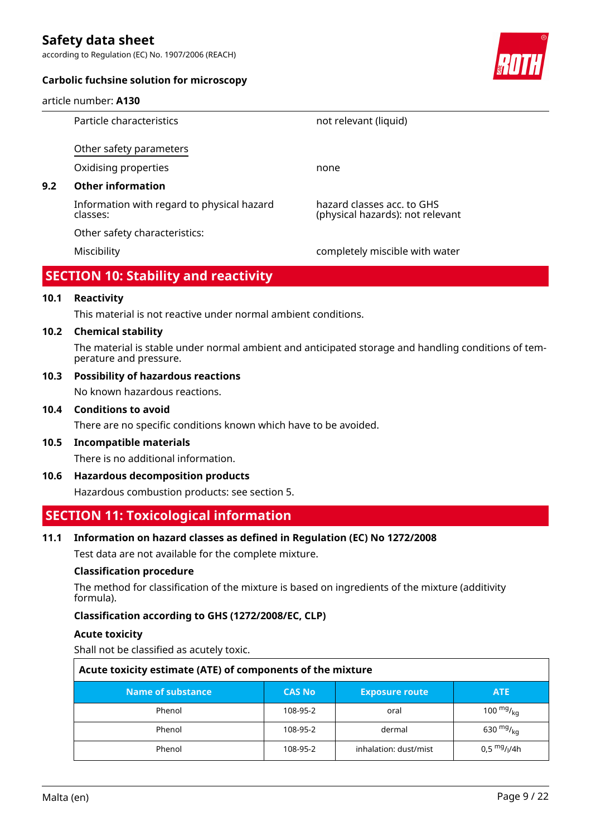according to Regulation (EC) No. 1907/2006 (REACH)



### **Carbolic fuchsine solution for microscopy**

#### article number: **A130**

|     | Particle characteristics                               | not relevant (liquid)                                          |
|-----|--------------------------------------------------------|----------------------------------------------------------------|
|     | Other safety parameters                                |                                                                |
|     | Oxidising properties                                   | none                                                           |
| 9.2 | <b>Other information</b>                               |                                                                |
|     | Information with regard to physical hazard<br>classes: | hazard classes acc. to GHS<br>(physical hazards): not relevant |
|     | Other safety characteristics:                          |                                                                |
|     | Miscibility                                            | completely miscible with water                                 |
|     |                                                        |                                                                |

### **SECTION 10: Stability and reactivity**

### **10.1 Reactivity**

This material is not reactive under normal ambient conditions.

### **10.2 Chemical stability**

The material is stable under normal ambient and anticipated storage and handling conditions of temperature and pressure.

### **10.3 Possibility of hazardous reactions**

No known hazardous reactions.

#### **10.4 Conditions to avoid**

There are no specific conditions known which have to be avoided.

#### **10.5 Incompatible materials**

There is no additional information.

### **10.6 Hazardous decomposition products**

Hazardous combustion products: see section 5.

### **SECTION 11: Toxicological information**

### **11.1 Information on hazard classes as defined in Regulation (EC) No 1272/2008**

Test data are not available for the complete mixture.

### **Classification procedure**

The method for classification of the mixture is based on ingredients of the mixture (additivity formula).

### **Classification according to GHS (1272/2008/EC, CLP)**

#### **Acute toxicity**

Shall not be classified as acutely toxic.

| Acute toxicity estimate (ATE) of components of the mixture                |          |                       |                                       |  |  |  |
|---------------------------------------------------------------------------|----------|-----------------------|---------------------------------------|--|--|--|
| Name of substance<br><b>CAS No</b><br><b>ATE</b><br><b>Exposure route</b> |          |                       |                                       |  |  |  |
| Phenol                                                                    | 108-95-2 | oral                  | 100 $mg/kq$                           |  |  |  |
| Phenol                                                                    | 108-95-2 | dermal                | 630 $mg/g_{\rm kq}$                   |  |  |  |
| Phenol                                                                    | 108-95-2 | inhalation: dust/mist | $0.5 \frac{mg}{l}$ / <sub>1</sub> /4h |  |  |  |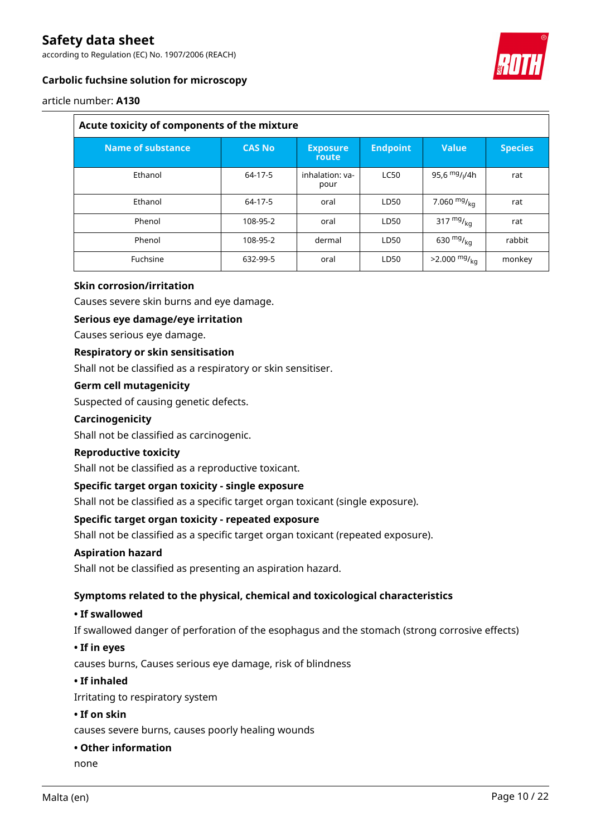according to Regulation (EC) No. 1907/2006 (REACH)



### **Carbolic fuchsine solution for microscopy**

### article number: **A130**

| Acute toxicity of components of the mixture |               |                          |                 |                           |                |  |  |
|---------------------------------------------|---------------|--------------------------|-----------------|---------------------------|----------------|--|--|
| Name of substance                           | <b>CAS No</b> | <b>Exposure</b><br>route | <b>Endpoint</b> | <b>Value</b>              | <b>Species</b> |  |  |
| Ethanol                                     | 64-17-5       | inhalation: ya-<br>pour  | <b>LC50</b>     | 95,6 mg/ <sub>l</sub> /4h | rat            |  |  |
| Ethanol                                     | 64-17-5       | oral                     | LD50            | 7.060 $mg/kq$             | rat            |  |  |
| Phenol                                      | 108-95-2      | oral                     | LD50            | 317 $mg/_{ka}$            | rat            |  |  |
| Phenol                                      | 108-95-2      | dermal                   | LD50            | 630 $mg/ka$               | rabbit         |  |  |
| Fuchsine                                    | 632-99-5      | oral                     | LD50            | $>2.000 \frac{mg}{kg}$    | monkey         |  |  |

### **Skin corrosion/irritation**

Causes severe skin burns and eye damage.

### **Serious eye damage/eye irritation**

Causes serious eye damage.

### **Respiratory or skin sensitisation**

Shall not be classified as a respiratory or skin sensitiser.

### **Germ cell mutagenicity**

Suspected of causing genetic defects.

### **Carcinogenicity**

Shall not be classified as carcinogenic.

#### **Reproductive toxicity**

Shall not be classified as a reproductive toxicant.

### **Specific target organ toxicity - single exposure**

Shall not be classified as a specific target organ toxicant (single exposure).

### **Specific target organ toxicity - repeated exposure**

Shall not be classified as a specific target organ toxicant (repeated exposure).

#### **Aspiration hazard**

Shall not be classified as presenting an aspiration hazard.

### **Symptoms related to the physical, chemical and toxicological characteristics**

#### **• If swallowed**

If swallowed danger of perforation of the esophagus and the stomach (strong corrosive effects)

#### **• If in eyes**

causes burns, Causes serious eye damage, risk of blindness

#### **• If inhaled**

Irritating to respiratory system

### **• If on skin**

causes severe burns, causes poorly healing wounds

### **• Other information**

none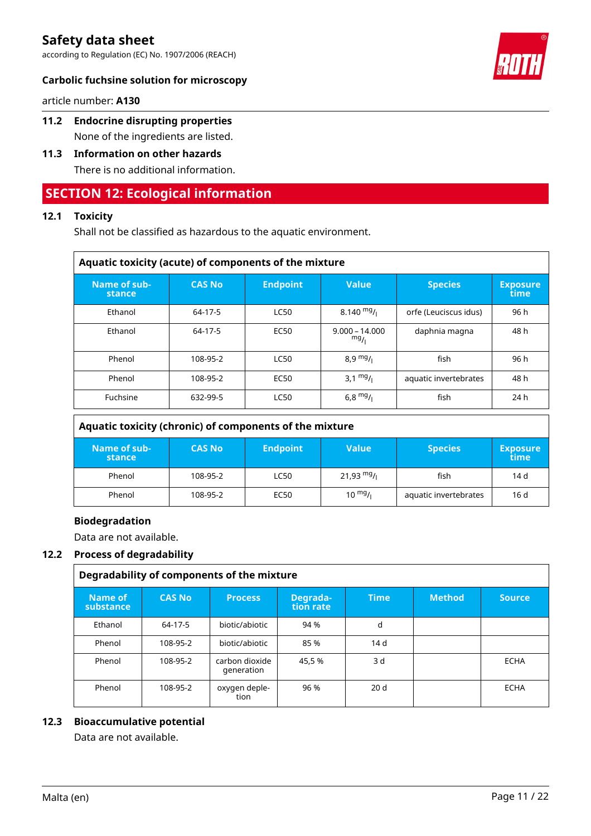according to Regulation (EC) No. 1907/2006 (REACH)



### **Carbolic fuchsine solution for microscopy**

article number: **A130**

- **11.2 Endocrine disrupting properties** None of the ingredients are listed.
- **11.3 Information on other hazards** There is no additional information.

## **SECTION 12: Ecological information**

### **12.1 Toxicity**

Shall not be classified as hazardous to the aquatic environment.

| Aquatic toxicity (acute) of components of the mixture |                         |                                                              |                         |                       |                         |  |  |  |
|-------------------------------------------------------|-------------------------|--------------------------------------------------------------|-------------------------|-----------------------|-------------------------|--|--|--|
| Name of sub-<br>stance                                | <b>CAS No</b>           | <b>Endpoint</b>                                              | <b>Value</b>            | <b>Species</b>        | <b>Exposure</b><br>time |  |  |  |
| Ethanol                                               | 64-17-5                 | $8.140 \frac{mg}{L}$<br><b>LC50</b><br>orfe (Leuciscus idus) |                         | 96 h                  |                         |  |  |  |
| Ethanol                                               | 64-17-5                 | <b>EC50</b>                                                  | $9.000 - 14.000$<br>mg/ | daphnia magna         | 48 h                    |  |  |  |
| Phenol                                                | <b>LC50</b><br>108-95-2 |                                                              | $8,9 \frac{mg}{l}$      | fish                  | 96 h                    |  |  |  |
| Phenol                                                | 108-95-2                | <b>EC50</b>                                                  | $3,1 \frac{mg}{l}$      | aquatic invertebrates | 48 h                    |  |  |  |
| Fuchsine                                              | 632-99-5                | <b>LC50</b>                                                  | $6,8 \frac{mg}{l}$      | fish                  | 24 h                    |  |  |  |

| Aquatic toxicity (chronic) of components of the mixture                                                                 |          |             |                      |                       |      |  |  |  |
|-------------------------------------------------------------------------------------------------------------------------|----------|-------------|----------------------|-----------------------|------|--|--|--|
| Name of sub-<br><b>Endpoint</b><br><b>Value</b><br><b>Species</b><br><b>CAS No</b><br><b>Exposure</b><br>stance<br>time |          |             |                      |                       |      |  |  |  |
| Phenol                                                                                                                  | 108-95-2 | <b>LC50</b> | $21,93 \frac{mg}{l}$ | fish                  | 14 d |  |  |  |
| Phenol                                                                                                                  | 108-95-2 | EC50        | $10^{mg}$ /          | aquatic invertebrates | 16 d |  |  |  |

### **Biodegradation**

Data are not available.

### **12.2 Process of degradability**

| Degradability of components of the mixture                                                                                        |          |                              |        |                 |  |             |  |
|-----------------------------------------------------------------------------------------------------------------------------------|----------|------------------------------|--------|-----------------|--|-------------|--|
| <b>CAS No</b><br><b>Time</b><br><b>Method</b><br>Name of<br>Degrada-<br><b>Process</b><br><b>Source</b><br>tion rate<br>substance |          |                              |        |                 |  |             |  |
| Ethanol                                                                                                                           | 64-17-5  | biotic/abiotic               | 94 %   | d               |  |             |  |
| Phenol                                                                                                                            | 108-95-2 | biotic/abiotic               | 85%    | 14d             |  |             |  |
| Phenol                                                                                                                            | 108-95-2 | carbon dioxide<br>generation | 45.5 % | 3 d             |  | <b>ECHA</b> |  |
| Phenol                                                                                                                            | 108-95-2 | oxygen deple-<br>tion        | 96 %   | 20 <sub>d</sub> |  | <b>ECHA</b> |  |

### **12.3 Bioaccumulative potential**

Data are not available.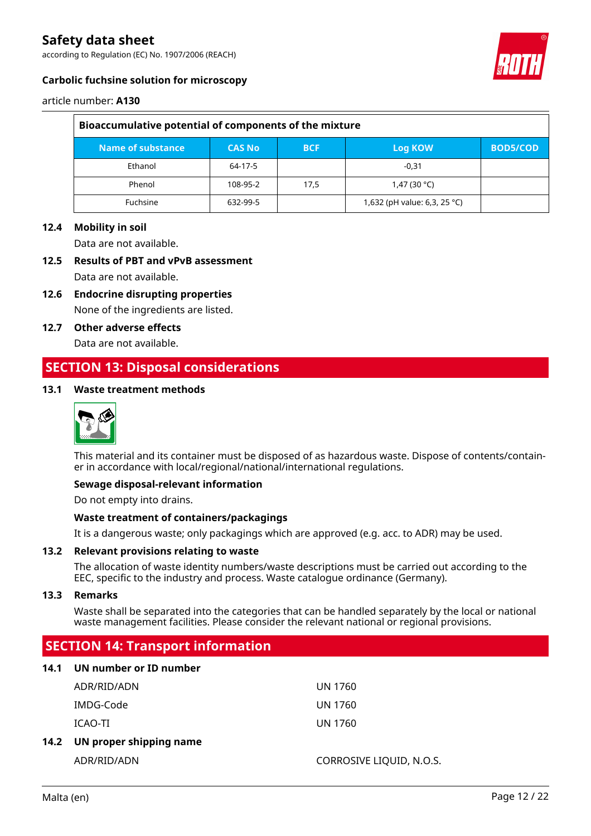according to Regulation (EC) No. 1907/2006 (REACH)



### **Carbolic fuchsine solution for microscopy**

#### article number: **A130**

| Bioaccumulative potential of components of the mixture                         |          |      |                              |  |  |  |
|--------------------------------------------------------------------------------|----------|------|------------------------------|--|--|--|
| Name of substance<br><b>BOD5/COD</b><br><b>CAS No</b><br><b>BCF</b><br>Log KOW |          |      |                              |  |  |  |
| Ethanol                                                                        | 64-17-5  |      | $-0.31$                      |  |  |  |
| Phenol                                                                         | 108-95-2 | 17,5 | 1,47 (30 °C)                 |  |  |  |
| <b>Fuchsine</b>                                                                | 632-99-5 |      | 1,632 (pH value: 6,3, 25 °C) |  |  |  |

#### **12.4 Mobility in soil**

Data are not available.

### **12.5 Results of PBT and vPvB assessment**

Data are not available.

- **12.6 Endocrine disrupting properties** None of the ingredients are listed.
- **12.7 Other adverse effects**

Data are not available.

### **SECTION 13: Disposal considerations**

### **13.1 Waste treatment methods**



This material and its container must be disposed of as hazardous waste. Dispose of contents/container in accordance with local/regional/national/international regulations.

#### **Sewage disposal-relevant information**

Do not empty into drains.

#### **Waste treatment of containers/packagings**

It is a dangerous waste; only packagings which are approved (e.g. acc. to ADR) may be used.

#### **13.2 Relevant provisions relating to waste**

The allocation of waste identity numbers/waste descriptions must be carried out according to the EEC, specific to the industry and process. Waste catalogue ordinance (Germany).

#### **13.3 Remarks**

Waste shall be separated into the categories that can be handled separately by the local or national waste management facilities. Please consider the relevant national or regional provisions.

### **SECTION 14: Transport information**

### **14.1 UN number or ID number**

| ADR/RID/ADN             | UN 1760                  |
|-------------------------|--------------------------|
| IMDG-Code               | UN 1760                  |
| ICAO-TI                 | UN 1760                  |
| UN proper shipping name |                          |
| ADR/RID/ADN             | CORROSIVE LIQUID, N.O.S. |

**14.2**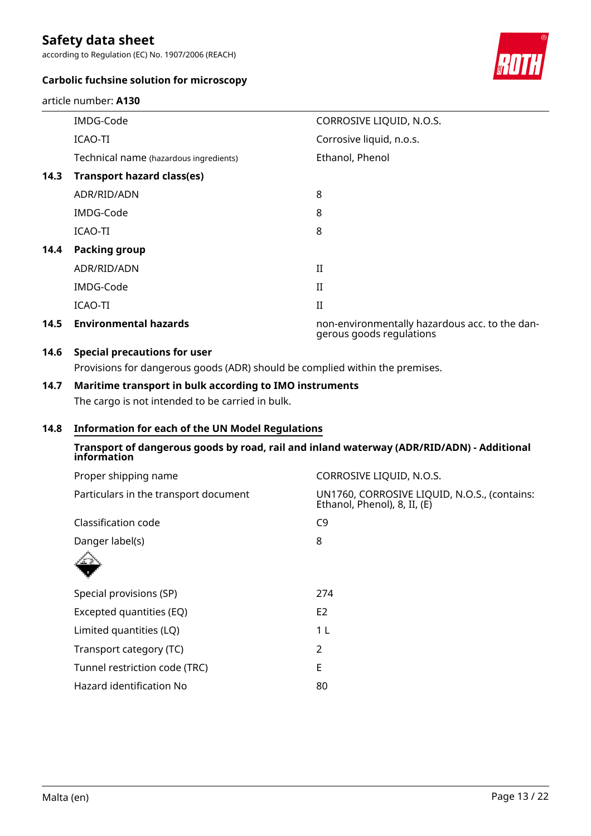according to Regulation (EC) No. 1907/2006 (REACH)

### **Carbolic fuchsine solution for microscopy**



article number: **A130**

|      | IMDG-Code                              | CORROSIVE LIQUID, N.O.S.                                                   |
|------|----------------------------------------|----------------------------------------------------------------------------|
|      | ICAO-TI                                | Corrosive liquid, n.o.s.                                                   |
|      | Technical name (hazardous ingredients) | Ethanol, Phenol                                                            |
| 14.3 | <b>Transport hazard class(es)</b>      |                                                                            |
|      | ADR/RID/ADN                            | 8                                                                          |
|      | IMDG-Code                              | 8                                                                          |
|      | ICAO-TI                                | 8                                                                          |
| 14.4 | <b>Packing group</b>                   |                                                                            |
|      | ADR/RID/ADN                            | $_{\rm II}$                                                                |
|      | IMDG-Code                              | $_{\rm II}$                                                                |
|      | ICAO-TI                                | $_{\rm II}$                                                                |
| 14.5 | <b>Environmental hazards</b>           | non-environmentally hazardous acc. to the dan-<br>gerous goods regulations |

### **14.6 Special precautions for user**

Provisions for dangerous goods (ADR) should be complied within the premises.

### **14.7 Maritime transport in bulk according to IMO instruments** The cargo is not intended to be carried in bulk.

### **14.8 Information for each of the UN Model Regulations**

| information                           | Transport of dangerous goods by road, rail and inland waterway (ADR/RID/ADN) - Additional |
|---------------------------------------|-------------------------------------------------------------------------------------------|
| Proper shipping name                  | CORROSIVE LIQUID, N.O.S.                                                                  |
| Particulars in the transport document | UN1760, CORROSIVE LIQUID, N.O.S., (contains:<br>Ethanol, Phenol), 8, II, (E)              |
| Classification code                   | C <sub>9</sub>                                                                            |
| Danger label(s)                       | 8                                                                                         |
|                                       |                                                                                           |
| Special provisions (SP)               | 274                                                                                       |
| Excepted quantities (EQ)              | E <sub>2</sub>                                                                            |
| Limited quantities (LQ)               | 1 L                                                                                       |
| Transport category (TC)               | 2                                                                                         |
| Tunnel restriction code (TRC)         | E                                                                                         |
| Hazard identification No              | 80                                                                                        |
|                                       |                                                                                           |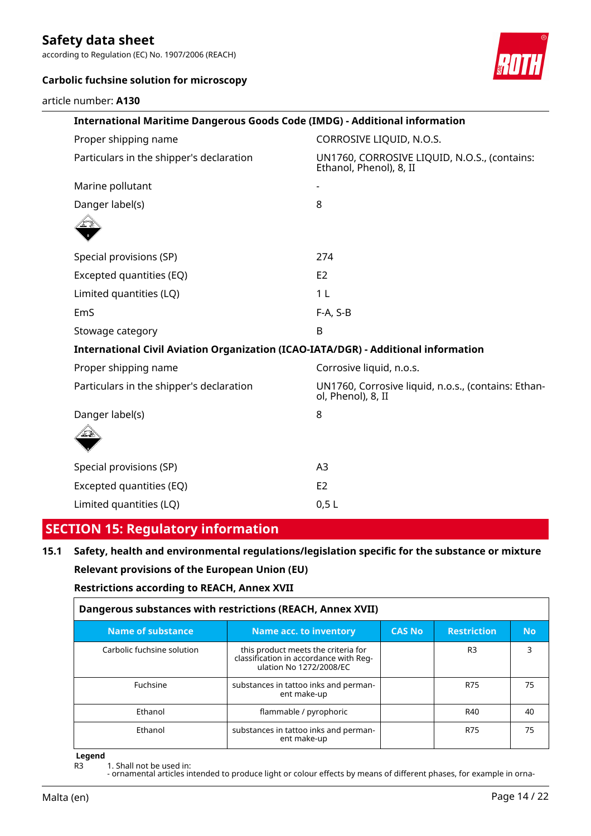according to Regulation (EC) No. 1907/2006 (REACH)



### **Carbolic fuchsine solution for microscopy**

article number: **A130**

| International Maritime Dangerous Goods Code (IMDG) - Additional information        |                                                                           |  |  |  |  |  |
|------------------------------------------------------------------------------------|---------------------------------------------------------------------------|--|--|--|--|--|
| Proper shipping name                                                               | CORROSIVE LIQUID, N.O.S.                                                  |  |  |  |  |  |
| Particulars in the shipper's declaration                                           | UN1760, CORROSIVE LIQUID, N.O.S., (contains:<br>Ethanol, Phenol), 8, II   |  |  |  |  |  |
| Marine pollutant                                                                   |                                                                           |  |  |  |  |  |
| Danger label(s)                                                                    | 8                                                                         |  |  |  |  |  |
|                                                                                    |                                                                           |  |  |  |  |  |
| Special provisions (SP)                                                            | 274                                                                       |  |  |  |  |  |
| Excepted quantities (EQ)                                                           | E <sub>2</sub>                                                            |  |  |  |  |  |
| Limited quantities (LQ)                                                            | 1 <sub>L</sub>                                                            |  |  |  |  |  |
| EmS                                                                                | $F-A, S-B$                                                                |  |  |  |  |  |
| Stowage category                                                                   | B                                                                         |  |  |  |  |  |
| International Civil Aviation Organization (ICAO-IATA/DGR) - Additional information |                                                                           |  |  |  |  |  |
| Proper shipping name                                                               | Corrosive liquid, n.o.s.                                                  |  |  |  |  |  |
| Particulars in the shipper's declaration                                           | UN1760, Corrosive liquid, n.o.s., (contains: Ethan-<br>ol, Phenol), 8, II |  |  |  |  |  |
| Danger label(s)                                                                    | 8                                                                         |  |  |  |  |  |
|                                                                                    |                                                                           |  |  |  |  |  |
| Special provisions (SP)                                                            | A <sub>3</sub>                                                            |  |  |  |  |  |
| Excepted quantities (EQ)                                                           | E <sub>2</sub>                                                            |  |  |  |  |  |
| Limited quantities (LQ)                                                            | 0,5L                                                                      |  |  |  |  |  |
|                                                                                    |                                                                           |  |  |  |  |  |

### **SECTION 15: Regulatory information**

**15.1 Safety, health and environmental regulations/legislation specific for the substance or mixture Relevant provisions of the European Union (EU)**

### **Restrictions according to REACH, Annex XVII**

| Dangerous substances with restrictions (REACH, Annex XVII) |                                                                                                          |           |                |    |  |  |  |
|------------------------------------------------------------|----------------------------------------------------------------------------------------------------------|-----------|----------------|----|--|--|--|
| <b>Name of substance</b>                                   | <b>Restriction</b>                                                                                       | <b>No</b> |                |    |  |  |  |
| Carbolic fuchsine solution                                 | this product meets the criteria for<br>classification in accordance with Reg-<br>ulation No 1272/2008/EC |           | R <sub>3</sub> | 3  |  |  |  |
| Fuchsine                                                   | substances in tattoo inks and perman-<br>ent make-up                                                     |           | <b>R75</b>     | 75 |  |  |  |
| Ethanol                                                    | flammable / pyrophoric                                                                                   |           | R40            | 40 |  |  |  |
| Ethanol                                                    | substances in tattoo inks and perman-<br>ent make-up                                                     |           | <b>R75</b>     | 75 |  |  |  |

**Legend**

R3 1. Shall not be used in: - ornamental articles intended to produce light or colour effects by means of different phases, for example in orna-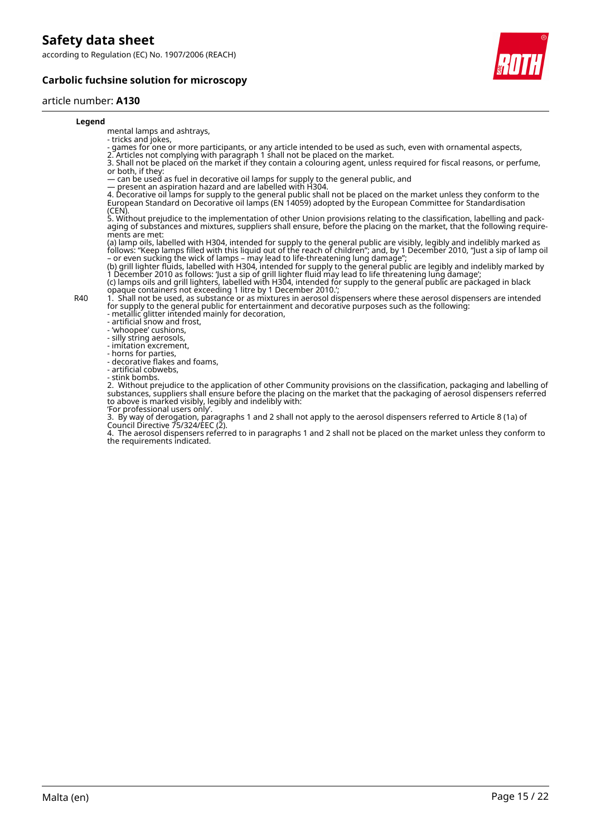according to Regulation (EC) No. 1907/2006 (REACH)

### **Carbolic fuchsine solution for microscopy**



#### article number: **A130**

#### **Legend**

mental lamps and ashtrays,

- tricks and jokes,

- games for one or more participants, or any article intended to be used as such, even with ornamental aspects,

- 2. Articles not complying with paragraph 1 shall not be placed on the market.
- 3. Shall not be placed on the market if they contain a colouring agent, unless required for fiscal reasons, or perfume, or both, if they:

— can be used as fuel in decorative oil lamps for supply to the general public, and

— present an aspiration hazard and are labelled with H304.

4. Decorative oil lamps for supply to the general public shall not be placed on the market unless they conform to the European Standard on Decorative oil lamps (EN 14059) adopted by the European Committee for Standardisation (CEN).

5. Without prejudice to the implementation of other Union provisions relating to the classification, labelling and packaging of substances and mixtures, suppliers shall ensure, before the placing on the market, that the following requirements are met:

(a) lamp oils, labelled with H304, intended for supply to the general public are visibly, legibly and indelibly marked as follows: "Keep lamps filled with this liquid out of the reach of children"; and, by 1 December 2010, "Just a sip of lamp oil – or even sucking the wick of lamps – may lead to life-threatening lung damage";

(b) grill lighter fluids, labelled with H304, intended for supply to the general public are legibly and indelibly marked by 1 December 2010 as follows: 'Just a sip of grill lighter fluid may lead to life threatening lung damage'; (c) lamps oils and grill lighters, labelled with H304, intended for supply to the general public are packaged in black opaque containers not exceeding 1 litre by 1 December 2010.';

R40 1. Shall not be used, as substance or as mixtures in aerosol dispensers where these aerosol dispensers are intended for supply to the general public for entertainment and decorative purposes such as the following:

- metallic glitter intended mainly for decoration,

- artificial snow and frost,

- 'whoopee' cushions,

- silly string aerosols,

- imitation excrement, - horns for parties,

- decorative flakes and foams,

- artificial cobwebs,

- stink bombs.

2. Without prejudice to the application of other Community provisions on the classification, packaging and labelling of substances, suppliers shall ensure before the placing on the market that the packaging of aerosol dispensers referred to above is marked visibly, legibly and indelibly with:

'For professional users only'.

3. By way of derogation, paragraphs 1 and 2 shall not apply to the aerosol dispensers referred to Article 8 (1a) of Council Directive 75/324/EEC (2).

4. The aerosol dispensers referred to in paragraphs 1 and 2 shall not be placed on the market unless they conform to the requirements indicated.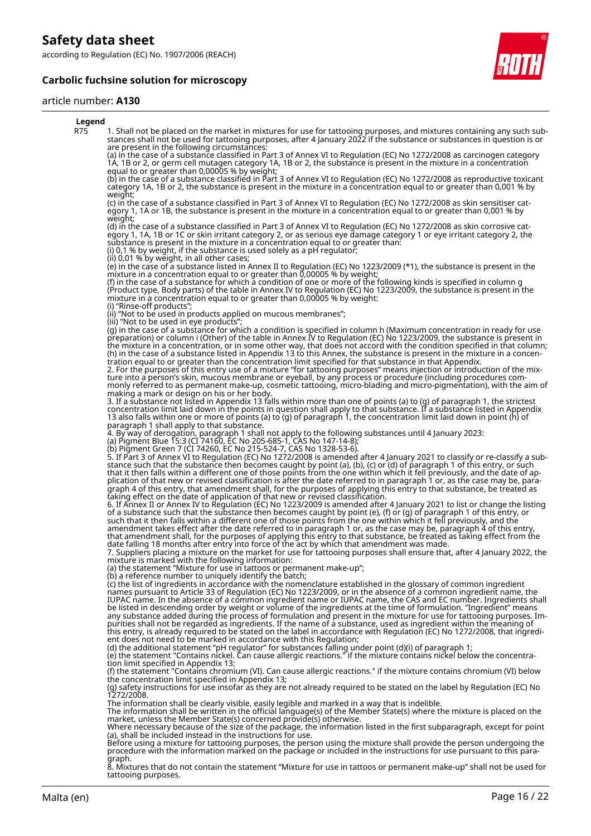according to Regulation (EC) No. 1907/2006 (REACH)

### **Carbolic fuchsine solution for microscopy**



### article number: **A130**

| Legend     |                                                                                                                                                                                                                                                                                                                                                                                                                                                                                                                                                                                                                                                                                                                                                                                                                                                                                                                                                                                                                                                                               |
|------------|-------------------------------------------------------------------------------------------------------------------------------------------------------------------------------------------------------------------------------------------------------------------------------------------------------------------------------------------------------------------------------------------------------------------------------------------------------------------------------------------------------------------------------------------------------------------------------------------------------------------------------------------------------------------------------------------------------------------------------------------------------------------------------------------------------------------------------------------------------------------------------------------------------------------------------------------------------------------------------------------------------------------------------------------------------------------------------|
| <b>R75</b> | 1. Shall not be placed on the market in mixtures for use for tattooing purposes, and mixtures containing any such sub-<br>stances shall not be used for tattooing purposes, after 4 January 2022 if the substance or substances in question is or<br>are present in the following circumstances:                                                                                                                                                                                                                                                                                                                                                                                                                                                                                                                                                                                                                                                                                                                                                                              |
|            | (a) in the case of a substance classified in Part 3 of Annex VI to Regulation (EC) No 1272/2008 as carcinogen category<br>1A, 1B or 2, or germ cell mutagen category 1A, 1B or 2, the substance is present in the mixture in a concentration<br>equal to or greater than 0,00005 % by weight;                                                                                                                                                                                                                                                                                                                                                                                                                                                                                                                                                                                                                                                                                                                                                                                 |
|            | (b) in the case of a substance classified in Part 3 of Annex VI to Regulation (EC) No 1272/2008 as reproductive toxicant<br>category 1A, 1B or 2, the substance is present in the mixture in a concentration equal to or greater than 0,001 % by<br>weight;                                                                                                                                                                                                                                                                                                                                                                                                                                                                                                                                                                                                                                                                                                                                                                                                                   |
|            | (c) in the case of a substance classified in Part 3 of Annex VI to Regulation (EC) No 1272/2008 as skin sensitiser cat-<br>egory 1, 1A or 1B, the substance is present in the mixture in a concentration equal to or greater than 0,001 % by<br>weight;                                                                                                                                                                                                                                                                                                                                                                                                                                                                                                                                                                                                                                                                                                                                                                                                                       |
|            | (d) in the case of a substance classified in Part 3 of Annex VI to Regulation (EC) No 1272/2008 as skin corrosive cat-<br>egory 1, 1A, 1B or 1C or skin irritant category 2, or as serious eye damage category 1 or eye irritant category 2, the<br>substance is present in the mixture in a concentration equal to or greater than.<br>(i) 0,1 % by weight, if the substance is used solely as a pH regulator;                                                                                                                                                                                                                                                                                                                                                                                                                                                                                                                                                                                                                                                               |
|            | (ii) 0,01 % by weight, in all other cases;<br>(e) in the case of a substance listed in Annex II to Regulation (EC) No 1223/2009 (*1), the substance is present in the<br>mixture in a concentration equal to or greater than 0,00005 % by weight;                                                                                                                                                                                                                                                                                                                                                                                                                                                                                                                                                                                                                                                                                                                                                                                                                             |
|            | (f) in the case of a substance for which a condition of one or more of the following kinds is specified in column g<br>(Product type, Body parts) of the table in Annex IV to Regulation (EC) No 1223/2009, the substance is present in the<br>mixture in a concentration equal to or greater than 0,00005 % by weight:<br>(i) "Rinse-off products";                                                                                                                                                                                                                                                                                                                                                                                                                                                                                                                                                                                                                                                                                                                          |
|            | (ii) "Not to be used in products applied on mucous membranes";                                                                                                                                                                                                                                                                                                                                                                                                                                                                                                                                                                                                                                                                                                                                                                                                                                                                                                                                                                                                                |
|            | (iii) "Not to be used in eye products";<br>(g) in the case of a substance for which a condition is specified in column h (Maximum concentration in ready for use<br>preparation) or column i (Other) of the table in Annex IV to Regulation (EC) No 1223/2009, the substance is present in<br>the mixture in a concentration, or in some other way, that does not accord with the condition specified in that column;<br>(h) in the case of a substance listed in Appendix 13 to this Annex, the substance is present in the mixture in a concen-<br>tration equal to or greater than the concentration limit specified for that substance in that Appendix.<br>2. For the purposes of this entry use of a mixture "for tattooing purposes" means injection or introduction of the mix-<br>ture into a person's skin, mucous membrane or eyeball, by any process or procedure (including procedures com-<br>monly referred to as permanent make-up, cosmetic tattooing, micro-blading and micro-pigmentation), with the aim of<br>making a mark or design on his or her body. |
|            | 3. If a substance not listed in Appendix 13 falls within more than one of points (a) to (g) of paragraph 1, the strictest<br>concentration limit laid down in the points in question shall apply to that substance. If a substance listed in Appendix<br>13 also falls within one or more of points (a) to (g) of paragraph 1, the concentration limit laid down in point (h) of<br>paragraph 1 shall apply to that substance.                                                                                                                                                                                                                                                                                                                                                                                                                                                                                                                                                                                                                                                |
|            | 4. By way of derogation, paragraph 1 shall not apply to the following substances until 4 January 2023:<br>(a) Pigment Blue 15:3 (CI 74160, EC No 205-685-1, CAS No 147-14-8);                                                                                                                                                                                                                                                                                                                                                                                                                                                                                                                                                                                                                                                                                                                                                                                                                                                                                                 |
|            | (b) Pigment Green 7 (CI 74260, EC No 215-524-7, CAS No 1328-53-6).<br>5. If Part 3 of Annex VI to Regulation (EC) No 1272/2008 is amended after 4 January 2021 to classify or re-classify a sub-                                                                                                                                                                                                                                                                                                                                                                                                                                                                                                                                                                                                                                                                                                                                                                                                                                                                              |
|            | stance such that the substance then becomes caught by point (a), (b), (c) or (d) of paragraph 1 of this entry, or such<br>that it then falls within a different one of those points from the one within which it fell previously, and the date of ap-<br>plication of that new or revised classification is after the date referred to in paragraph 1 or, as the case may be, para-<br>graph 4 of this entry, that amendment shall, for the purposes of applying this entry to that substance, be treated as                                                                                                                                                                                                                                                                                                                                                                                                                                                                                                                                                                  |
|            | taking effect on the date of application of that new or revised classification.<br>6. If Annex II or Annex IV to Regulation (EC) No 1223/2009 is amended after 4 January 2021 to list or change the listing                                                                                                                                                                                                                                                                                                                                                                                                                                                                                                                                                                                                                                                                                                                                                                                                                                                                   |
|            | of a substance such that the substance then becomes caught by point (e), (f) or (g) of paragraph 1 of this entry, or<br>such that it then falls within a different one of those points from the one within which it fell previously, and the<br>amendment takes effect after the date referred to in paragraph 1 or, as the case may be, paragraph 4 of this entry,<br>that amendment shall, for the purposes of applying this entry to that substance, be treated as taking effect from the                                                                                                                                                                                                                                                                                                                                                                                                                                                                                                                                                                                  |
|            | date falling 18 months after entry into force of the act by which that amendment was made.<br>7. Suppliers placing a mixture on the market for use for tattooing purposes shall ensure that, after 4 January 2022, the<br>mixture is marked with the following information:                                                                                                                                                                                                                                                                                                                                                                                                                                                                                                                                                                                                                                                                                                                                                                                                   |
|            | (a) the statement "Mixture for use in tattoos or permanent make-up";<br>(b) a reference number to uniquely identify the batch;                                                                                                                                                                                                                                                                                                                                                                                                                                                                                                                                                                                                                                                                                                                                                                                                                                                                                                                                                |
|            | (c) the list of ingredients in accordance with the nomenclature established in the glossary of common ingredient<br>names pursuant to Article 33 of Regulation (EC) No 1223/2009, or in the absence of a common ingredient name, the<br>IUPAC name. In the absence of a common ingredient name or IUPAC name, the CAS and EC number. Ingredients shall<br>be listed in descending order by weight or volume of the ingredients at the time of formulation. "Ingredient" means<br>any substance added during the process of formulation and present in the mixture for use for tattooing purposes. Im-<br>purities shall not be regarded as ingredients. If the name of a substance, used as ingredient within the meaning of                                                                                                                                                                                                                                                                                                                                                  |
|            | this entry, is already required to be stated on the label in accordance with Regulation (EC) No 1272/2008, that ingredi-<br>ent does not need to be marked in accordance with this Regulation;                                                                                                                                                                                                                                                                                                                                                                                                                                                                                                                                                                                                                                                                                                                                                                                                                                                                                |
|            | (d) the additional statement "pH regulator" for substances falling under point (d)(i) of paragraph 1;<br>(e) the statement "Contains nickel. Can cause allergic reactions." if the mixture contains nickel below the concentra-<br>tion limit specified in Appendix 13;                                                                                                                                                                                                                                                                                                                                                                                                                                                                                                                                                                                                                                                                                                                                                                                                       |
|            | (f) the statement "Contains chromium (VI). Can cause allergic reactions." if the mixture contains chromium (VI) below<br>the concentration limit specified in Appendix 13;<br>(g) safety instructions for use insofar as they are not already required to be stated on the label by Requlation (EC) No                                                                                                                                                                                                                                                                                                                                                                                                                                                                                                                                                                                                                                                                                                                                                                        |
|            | 1272/2008.<br>The information shall be clearly visible, easily legible and marked in a way that is indelible.                                                                                                                                                                                                                                                                                                                                                                                                                                                                                                                                                                                                                                                                                                                                                                                                                                                                                                                                                                 |
|            | The information shall be written in the official language(s) of the Member State(s) where the mixture is placed on the<br>market, unless the Member State(s) concerned provide(s) otherwise.<br>Where necessary because of the size of the package, the information listed in the first subparagraph, except for point                                                                                                                                                                                                                                                                                                                                                                                                                                                                                                                                                                                                                                                                                                                                                        |
|            | (a), shall be included instead in the instructions for use.<br>Before using a mixture for tattooing purposes, the person using the mixture shall provide the person undergoing the<br>procedure with the information marked on the package or included in the instructions for use pursuant to this para-                                                                                                                                                                                                                                                                                                                                                                                                                                                                                                                                                                                                                                                                                                                                                                     |
|            | graph.<br>8. Mixtures that do not contain the statement "Mixture for use in tattoos or permanent make-un" shall not be used for                                                                                                                                                                                                                                                                                                                                                                                                                                                                                                                                                                                                                                                                                                                                                                                                                                                                                                                                               |

8. Mixtures that do not contain the statement "Mixture for use in tattoos or permanent make-up" shall not be used for tattooing purposes.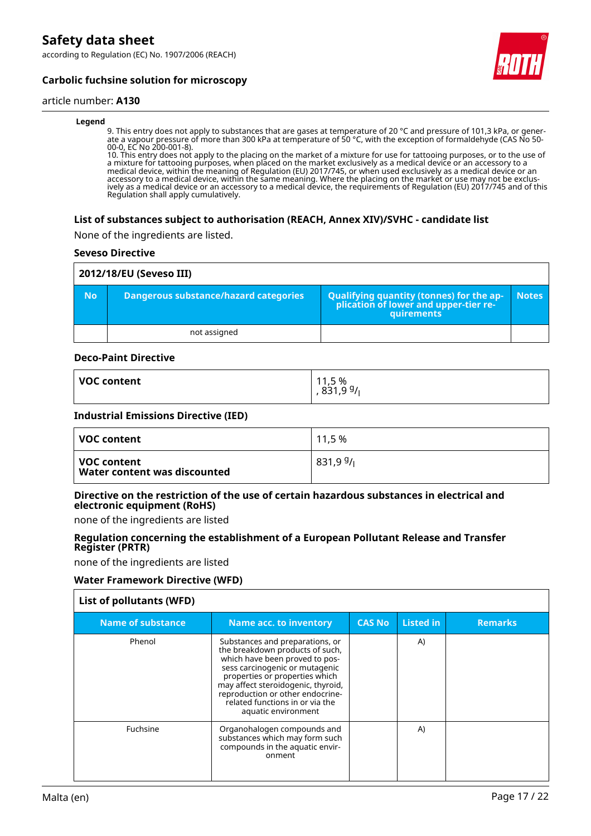according to Regulation (EC) No. 1907/2006 (REACH)





### **Carbolic fuchsine solution for microscopy**

### article number: **A130**

#### **Legend**

9. This entry does not apply to substances that are gases at temperature of 20 °C and pressure of 101,3 kPa, or generate a vapour pressure of more than 300 kPa at temperature of 50 °C, with the exception of formaldehyde (CAS No 50- 00-0, EC No 200-001-8).

10. This entry does not apply to the placing on the market of a mixture for use for tattooing purposes, or to the use of a mixture for tattooing purposes, when placed on the market exclusively as a medical device or an accessory to a medical device, within the meaning of Regulation (EU) 2017/745, or when used exclusively as a medical device or an accessory to a medical device, within the same meaning. Where the placing on the market or use may not be exclusively as a medical device or an accessory to a medical device, the requirements of Regulation (EU) 2017/745 and of this Regulation shall apply cumulatively.

#### **List of substances subject to authorisation (REACH, Annex XIV)/SVHC - candidate list**

None of the ingredients are listed.

#### **Seveso Directive**

| 2012/18/EU (Seveso III) |                                              |                                                                                            |              |  |  |
|-------------------------|----------------------------------------------|--------------------------------------------------------------------------------------------|--------------|--|--|
| <b>No</b>               | <b>Dangerous substance/hazard categories</b> | Qualifying quantity (tonnes) for the application of lower and upper-tier re-<br>quirements | <b>Notes</b> |  |  |
|                         | not assigned                                 |                                                                                            |              |  |  |

### **Deco-Paint Directive**

| <b>VOC content</b> | 11,5 %<br>831,99/ |
|--------------------|-------------------|
|                    |                   |

### **Industrial Emissions Directive (IED)**

| VOC content                                 | 11.5 %                |
|---------------------------------------------|-----------------------|
| VOC content<br>Water content was discounted | 831,9 <sup>9</sup> /լ |

#### **Directive on the restriction of the use of certain hazardous substances in electrical and electronic equipment (RoHS)**

none of the ingredients are listed

#### **Regulation concerning the establishment of a European Pollutant Release and Transfer Register (PRTR)**

none of the ingredients are listed

#### **Water Framework Directive (WFD)**

| List of pollutants (WFD) |                                                                                                                                                                                                                                                                                                              |               |                  |                |
|--------------------------|--------------------------------------------------------------------------------------------------------------------------------------------------------------------------------------------------------------------------------------------------------------------------------------------------------------|---------------|------------------|----------------|
| <b>Name of substance</b> | Name acc. to inventory                                                                                                                                                                                                                                                                                       | <b>CAS No</b> | <b>Listed</b> in | <b>Remarks</b> |
| Phenol                   | Substances and preparations, or<br>the breakdown products of such,<br>which have been proved to pos-<br>sess carcinogenic or mutagenic<br>properties or properties which<br>may affect steroidogenic, thyroid,<br>reproduction or other endocrine-<br>related functions in or via the<br>aquatic environment |               | A)               |                |
| Fuchsine                 | Organohalogen compounds and<br>substances which may form such<br>compounds in the aquatic envir-<br>onment                                                                                                                                                                                                   |               | A)               |                |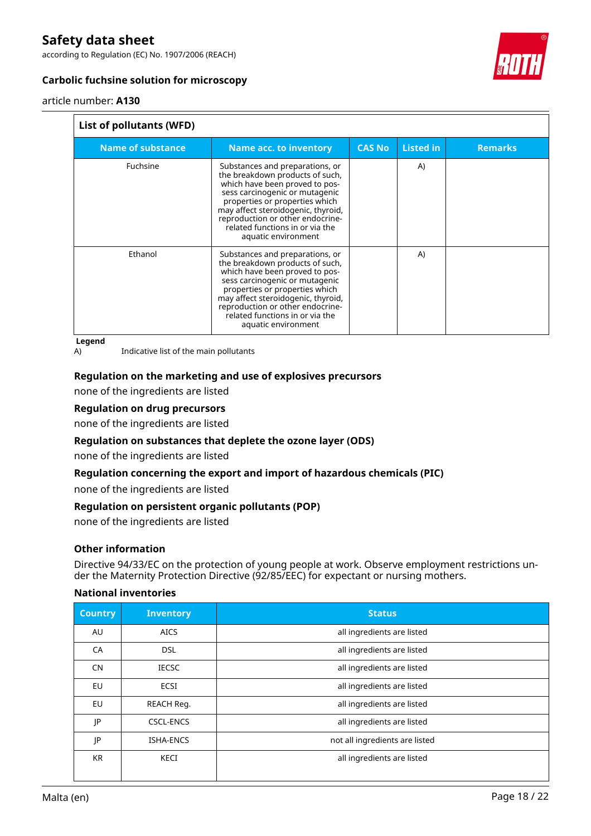according to Regulation (EC) No. 1907/2006 (REACH)





### article number: **A130**

| List of pollutants (WFD) |                                                                                                                                                                                                                                                                                                              |               |                  |                |
|--------------------------|--------------------------------------------------------------------------------------------------------------------------------------------------------------------------------------------------------------------------------------------------------------------------------------------------------------|---------------|------------------|----------------|
| <b>Name of substance</b> | <b>Name acc. to inventory</b>                                                                                                                                                                                                                                                                                | <b>CAS No</b> | <b>Listed</b> in | <b>Remarks</b> |
| Fuchsine                 | Substances and preparations, or<br>the breakdown products of such,<br>which have been proved to pos-<br>sess carcinogenic or mutagenic<br>properties or properties which<br>may affect steroidogenic, thyroid,<br>reproduction or other endocrine-<br>related functions in or via the<br>aquatic environment |               | A)               |                |
| Ethanol                  | Substances and preparations, or<br>the breakdown products of such,<br>which have been proved to pos-<br>sess carcinogenic or mutagenic<br>properties or properties which<br>may affect steroidogenic, thyroid,<br>reproduction or other endocrine-<br>related functions in or via the<br>aquatic environment |               | A)               |                |

**Legend**

A) Indicative list of the main pollutants

### **Regulation on the marketing and use of explosives precursors**

none of the ingredients are listed

#### **Regulation on drug precursors**

none of the ingredients are listed

#### **Regulation on substances that deplete the ozone layer (ODS)**

none of the ingredients are listed

### **Regulation concerning the export and import of hazardous chemicals (PIC)**

none of the ingredients are listed

### **Regulation on persistent organic pollutants (POP)**

none of the ingredients are listed

### **Other information**

Directive 94/33/EC on the protection of young people at work. Observe employment restrictions under the Maternity Protection Directive (92/85/EEC) for expectant or nursing mothers.

### **National inventories**

| <b>Country</b> | <b>Inventory</b> | <b>Status</b>                  |
|----------------|------------------|--------------------------------|
| AU             | <b>AICS</b>      | all ingredients are listed     |
| CA             | <b>DSL</b>       | all ingredients are listed     |
| <b>CN</b>      | <b>IECSC</b>     | all ingredients are listed     |
| EU             | <b>ECSI</b>      | all ingredients are listed     |
| EU             | REACH Req.       | all ingredients are listed     |
| JP             | <b>CSCL-ENCS</b> | all ingredients are listed     |
| IP             | <b>ISHA-ENCS</b> | not all ingredients are listed |
| <b>KR</b>      | KECI             | all ingredients are listed     |
|                |                  |                                |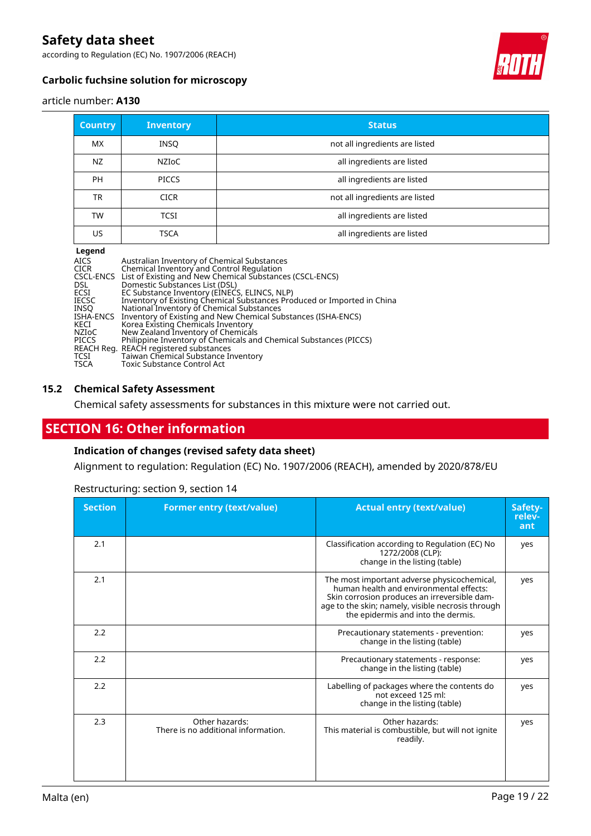according to Regulation (EC) No. 1907/2006 (REACH)



### **Carbolic fuchsine solution for microscopy**

article number: **A130**

| <b>Country</b> | <b>Inventory</b> | <b>Status</b>                  |
|----------------|------------------|--------------------------------|
| <b>MX</b>      | INSQ             | not all ingredients are listed |
| NZ             | <b>NZIOC</b>     | all ingredients are listed     |
| <b>PH</b>      | <b>PICCS</b>     | all ingredients are listed     |
| TR             | <b>CICR</b>      | not all ingredients are listed |
| <b>TW</b>      | <b>TCSI</b>      | all ingredients are listed     |
| US             | <b>TSCA</b>      | all ingredients are listed     |
| hnana          |                  |                                |

| I<br>ena<br>n<br>re |
|---------------------|
|---------------------|

| Legena       |                                                                         |
|--------------|-------------------------------------------------------------------------|
| <b>AICS</b>  | Australian Inventory of Chemical Substances                             |
| <b>CICR</b>  | Chemical Inventory and Control Regulation                               |
|              | CSCL-ENCS List of Existing and New Chemical Substances (CSCL-ENCS)      |
| DSL.         | Domestic Substances List (DSL)                                          |
| ECSI         | EC Substance Inventory (EINECS, ELINCS, NLP)                            |
| <b>IECSC</b> | Inventory of Existing Chemical Substances Produced or Imported in China |
| INSO         | National Inventory of Chemical Substances                               |
| ISHA-ENCS    | Inventory of Existing and New Chemical Substances (ISHA-ENCS)           |
| KECI         | Korea Existing Chemicals Inventory                                      |
| NZIoC        | New Zealand Inventory of Chemicals                                      |
| <b>PICCS</b> | Philippine Inventory of Chemicals and Chemical Substances (PICCS)       |
|              | REACH Reg. REACH registered substances                                  |
| <b>TCSI</b>  | Taiwan Chemical Substance Inventory                                     |
| <b>TSCA</b>  | Toxic Substance Control Act                                             |
|              |                                                                         |

### **15.2 Chemical Safety Assessment**

Chemical safety assessments for substances in this mixture were not carried out.

### **SECTION 16: Other information**

### **Indication of changes (revised safety data sheet)**

Alignment to regulation: Regulation (EC) No. 1907/2006 (REACH), amended by 2020/878/EU

Restructuring: section 9, section 14

| <b>Section</b> | <b>Former entry (text/value)</b>                      | <b>Actual entry (text/value)</b>                                                                                                                                                                                                  | Safety-<br>relev-<br>ant |
|----------------|-------------------------------------------------------|-----------------------------------------------------------------------------------------------------------------------------------------------------------------------------------------------------------------------------------|--------------------------|
| 2.1            |                                                       | Classification according to Regulation (EC) No<br>1272/2008 (CLP):<br>change in the listing (table)                                                                                                                               | yes                      |
| 2.1            |                                                       | The most important adverse physicochemical,<br>human health and environmental effects:<br>Skin corrosion produces an irreversible dam-<br>age to the skin; namely, visible necrosis through<br>the epidermis and into the dermis. | yes                      |
| 2.2            |                                                       | Precautionary statements - prevention:<br>change in the listing (table)                                                                                                                                                           | yes                      |
| 2.2            |                                                       | Precautionary statements - response:<br>change in the listing (table)                                                                                                                                                             | yes                      |
| 2.2            |                                                       | Labelling of packages where the contents do<br>not exceed 125 ml:<br>change in the listing (table)                                                                                                                                | yes                      |
| 2.3            | Other hazards:<br>There is no additional information. | Other hazards:<br>This material is combustible, but will not ignite<br>readily.                                                                                                                                                   | yes                      |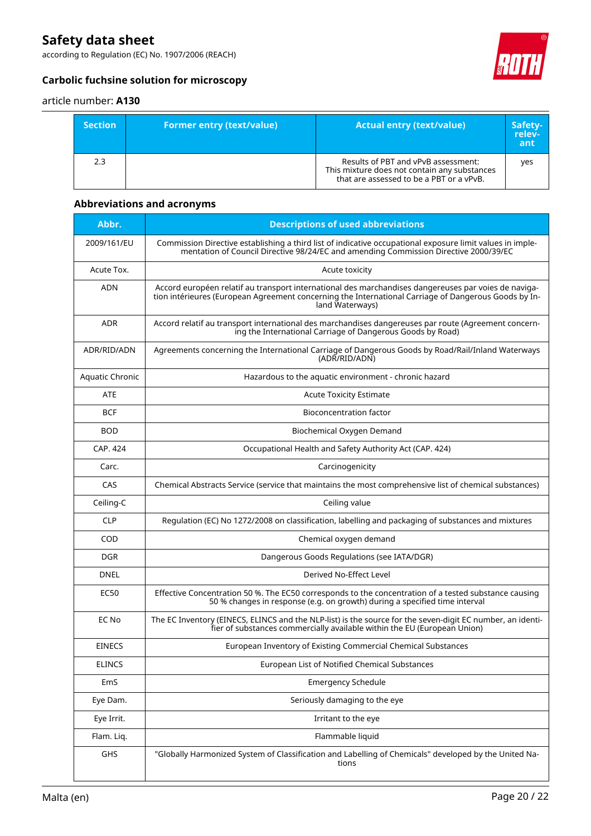according to Regulation (EC) No. 1907/2006 (REACH)



### **Carbolic fuchsine solution for microscopy**

article number: **A130**

| <b>Section</b> | <b>Former entry (text/value)</b> | <b>Actual entry (text/value)</b>                                                                                                | Safety-<br>\relev-\<br>ant |
|----------------|----------------------------------|---------------------------------------------------------------------------------------------------------------------------------|----------------------------|
| 2.3            |                                  | Results of PBT and vPvB assessment:<br>This mixture does not contain any substances<br>that are assessed to be a PBT or a vPvB. | ves                        |

### **Abbreviations and acronyms**

| Abbr.                  | <b>Descriptions of used abbreviations</b>                                                                                                                                                                                       |
|------------------------|---------------------------------------------------------------------------------------------------------------------------------------------------------------------------------------------------------------------------------|
| 2009/161/EU            | Commission Directive establishing a third list of indicative occupational exposure limit values in imple-<br>mentation of Council Directive 98/24/EC and amending Commission Directive 2000/39/EC                               |
| Acute Tox.             | Acute toxicity                                                                                                                                                                                                                  |
| <b>ADN</b>             | Accord européen relatif au transport international des marchandises dangereuses par voies de naviga-<br>tion intérieures (European Agreement concerning the International Carriage of Dangerous Goods by In-<br>land Waterways) |
| <b>ADR</b>             | Accord relatif au transport international des marchandises dangereuses par route (Agreement concern-<br>ing the International Carriage of Dangerous Goods by Road)                                                              |
| ADR/RID/ADN            | Agreements concerning the International Carriage of Dangerous Goods by Road/Rail/Inland Waterways<br>(ADR/RID/ADN)                                                                                                              |
| <b>Aquatic Chronic</b> | Hazardous to the aquatic environment - chronic hazard                                                                                                                                                                           |
| <b>ATE</b>             | <b>Acute Toxicity Estimate</b>                                                                                                                                                                                                  |
| <b>BCF</b>             | <b>Bioconcentration factor</b>                                                                                                                                                                                                  |
| <b>BOD</b>             | Biochemical Oxygen Demand                                                                                                                                                                                                       |
| CAP. 424               | Occupational Health and Safety Authority Act (CAP. 424)                                                                                                                                                                         |
| Carc.                  | Carcinogenicity                                                                                                                                                                                                                 |
| CAS                    | Chemical Abstracts Service (service that maintains the most comprehensive list of chemical substances)                                                                                                                          |
| Ceiling-C              | Ceiling value                                                                                                                                                                                                                   |
| <b>CLP</b>             | Regulation (EC) No 1272/2008 on classification, labelling and packaging of substances and mixtures                                                                                                                              |
| <b>COD</b>             | Chemical oxygen demand                                                                                                                                                                                                          |
| <b>DGR</b>             | Dangerous Goods Regulations (see IATA/DGR)                                                                                                                                                                                      |
| DNEL                   | Derived No-Effect Level                                                                                                                                                                                                         |
| EC50                   | Effective Concentration 50 %. The EC50 corresponds to the concentration of a tested substance causing<br>50 % changes in response (e.g. on growth) during a specified time interval                                             |
| EC No                  | The EC Inventory (EINECS, ELINCS and the NLP-list) is the source for the seven-digit EC number, an identi-<br>fier of substances commercially available within the EU (European Union)                                          |
| <b>EINECS</b>          | European Inventory of Existing Commercial Chemical Substances                                                                                                                                                                   |
| <b>ELINCS</b>          | European List of Notified Chemical Substances                                                                                                                                                                                   |
| EmS                    | <b>Emergency Schedule</b>                                                                                                                                                                                                       |
| Eye Dam.               | Seriously damaging to the eye                                                                                                                                                                                                   |
| Eye Irrit.             | Irritant to the eye                                                                                                                                                                                                             |
| Flam. Liq.             | Flammable liquid                                                                                                                                                                                                                |
| GHS                    | "Globally Harmonized System of Classification and Labelling of Chemicals" developed by the United Na-<br>tions                                                                                                                  |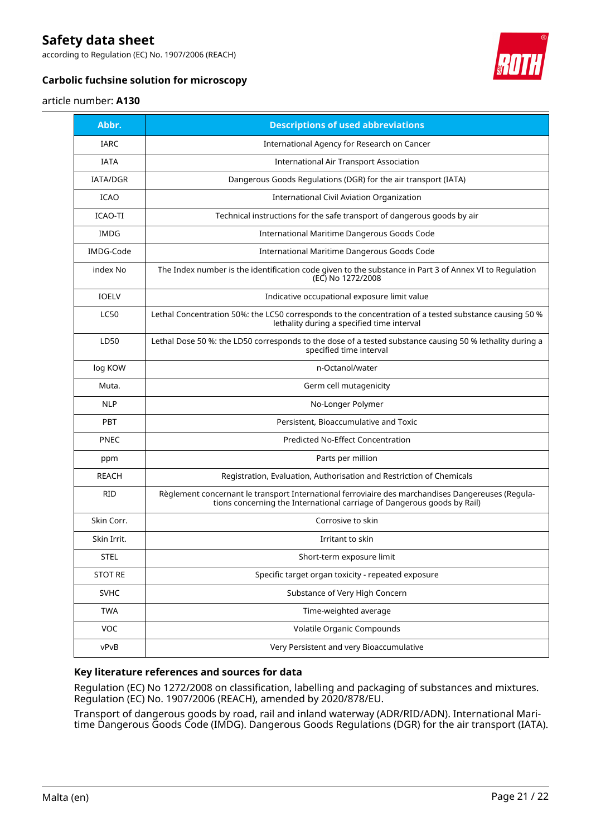according to Regulation (EC) No. 1907/2006 (REACH)



### **Carbolic fuchsine solution for microscopy**

### article number: **A130**

| Abbr.           | <b>Descriptions of used abbreviations</b>                                                                                                                                    |
|-----------------|------------------------------------------------------------------------------------------------------------------------------------------------------------------------------|
| <b>IARC</b>     | International Agency for Research on Cancer                                                                                                                                  |
| <b>IATA</b>     | International Air Transport Association                                                                                                                                      |
| <b>IATA/DGR</b> | Dangerous Goods Regulations (DGR) for the air transport (IATA)                                                                                                               |
| <b>ICAO</b>     | International Civil Aviation Organization                                                                                                                                    |
| ICAO-TI         | Technical instructions for the safe transport of dangerous goods by air                                                                                                      |
| <b>IMDG</b>     | International Maritime Dangerous Goods Code                                                                                                                                  |
| IMDG-Code       | International Maritime Dangerous Goods Code                                                                                                                                  |
| index No        | The Index number is the identification code given to the substance in Part 3 of Annex VI to Regulation<br>(EC) No 1272/2008                                                  |
| <b>IOELV</b>    | Indicative occupational exposure limit value                                                                                                                                 |
| <b>LC50</b>     | Lethal Concentration 50%: the LC50 corresponds to the concentration of a tested substance causing 50 %<br>lethality during a specified time interval                         |
| LD50            | Lethal Dose 50 %: the LD50 corresponds to the dose of a tested substance causing 50 % lethality during a<br>specified time interval                                          |
| log KOW         | n-Octanol/water                                                                                                                                                              |
| Muta.           | Germ cell mutagenicity                                                                                                                                                       |
| <b>NLP</b>      | No-Longer Polymer                                                                                                                                                            |
| <b>PBT</b>      | Persistent, Bioaccumulative and Toxic                                                                                                                                        |
| <b>PNEC</b>     | Predicted No-Effect Concentration                                                                                                                                            |
| ppm             | Parts per million                                                                                                                                                            |
| REACH           | Registration, Evaluation, Authorisation and Restriction of Chemicals                                                                                                         |
| <b>RID</b>      | Règlement concernant le transport International ferroviaire des marchandises Dangereuses (Regula-<br>tions concerning the International carriage of Dangerous goods by Rail) |
| Skin Corr.      | Corrosive to skin                                                                                                                                                            |
| Skin Irrit.     | Irritant to skin                                                                                                                                                             |
| STEL            | Short-term exposure limit                                                                                                                                                    |
| <b>STOT RE</b>  | Specific target organ toxicity - repeated exposure                                                                                                                           |
| <b>SVHC</b>     | Substance of Very High Concern                                                                                                                                               |
| <b>TWA</b>      | Time-weighted average                                                                                                                                                        |
| VOC             | Volatile Organic Compounds                                                                                                                                                   |
| vPvB            | Very Persistent and very Bioaccumulative                                                                                                                                     |

### **Key literature references and sources for data**

Regulation (EC) No 1272/2008 on classification, labelling and packaging of substances and mixtures. Regulation (EC) No. 1907/2006 (REACH), amended by 2020/878/EU.

Transport of dangerous goods by road, rail and inland waterway (ADR/RID/ADN). International Maritime Dangerous Goods Code (IMDG). Dangerous Goods Regulations (DGR) for the air transport (IATA).